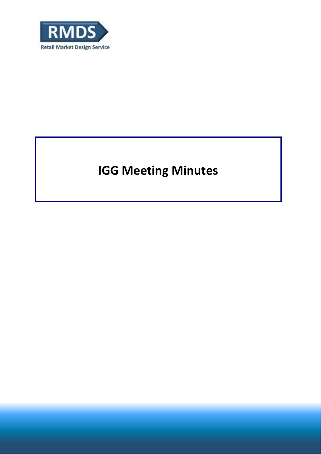

# **IGG Meeting Minutes**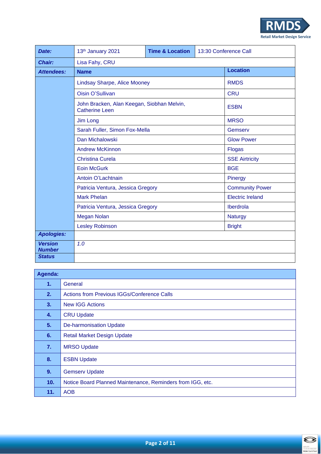

| Date:                           | 13th January 2021                                                   | <b>Time &amp; Location</b> | 13:30 Conference Call |  |  |  |  |
|---------------------------------|---------------------------------------------------------------------|----------------------------|-----------------------|--|--|--|--|
| <b>Chair:</b>                   | Lisa Fahy, CRU                                                      |                            |                       |  |  |  |  |
| <b>Attendees:</b>               | <b>Name</b>                                                         | <b>Location</b>            |                       |  |  |  |  |
|                                 | Lindsay Sharpe, Alice Mooney                                        | <b>RMDS</b>                |                       |  |  |  |  |
|                                 | Oisin O'Sullivan                                                    | <b>CRU</b>                 |                       |  |  |  |  |
|                                 | John Bracken, Alan Keegan, Siobhan Melvin,<br><b>Catherine Leen</b> | <b>ESBN</b>                |                       |  |  |  |  |
|                                 | Jim Long                                                            | <b>MRSO</b>                |                       |  |  |  |  |
|                                 | Sarah Fuller, Simon Fox-Mella                                       | Gemserv                    |                       |  |  |  |  |
|                                 | Dan Michalowski                                                     | <b>Glow Power</b>          |                       |  |  |  |  |
|                                 | <b>Andrew McKinnon</b>                                              | <b>Flogas</b>              |                       |  |  |  |  |
|                                 | <b>Christina Curela</b>                                             | <b>SSE Airtricity</b>      |                       |  |  |  |  |
|                                 | <b>Eoin McGurk</b>                                                  | <b>BGE</b>                 |                       |  |  |  |  |
|                                 | Antoin O'Lachtnain                                                  | Pinergy                    |                       |  |  |  |  |
|                                 | Patricia Ventura, Jessica Gregory                                   | <b>Community Power</b>     |                       |  |  |  |  |
|                                 | <b>Mark Phelan</b>                                                  | <b>Electric Ireland</b>    |                       |  |  |  |  |
|                                 | Patricia Ventura, Jessica Gregory                                   | Iberdrola                  |                       |  |  |  |  |
|                                 | <b>Megan Nolan</b>                                                  | <b>Naturgy</b>             |                       |  |  |  |  |
|                                 | <b>Lesley Robinson</b>                                              | <b>Bright</b>              |                       |  |  |  |  |
| <b>Apologies:</b>               |                                                                     |                            |                       |  |  |  |  |
| <b>Version</b><br><b>Number</b> | 1.0                                                                 |                            |                       |  |  |  |  |
| <b>Status</b>                   |                                                                     |                            |                       |  |  |  |  |

| Agenda: |                                                            |
|---------|------------------------------------------------------------|
| 1.      | General                                                    |
| 2.      | <b>Actions from Previous IGGs/Conference Calls</b>         |
| 3.      | <b>New IGG Actions</b>                                     |
| 4.      | <b>CRU Update</b>                                          |
| 5.      | <b>De-harmonisation Update</b>                             |
| 6.      | <b>Retail Market Design Update</b>                         |
| 7.      | <b>MRSO Update</b>                                         |
| 8.      | <b>ESBN Update</b>                                         |
| 9.      | <b>Gemserv Update</b>                                      |
| 10.     | Notice Board Planned Maintenance, Reminders from IGG, etc. |
| 11.     | <b>AOB</b>                                                 |

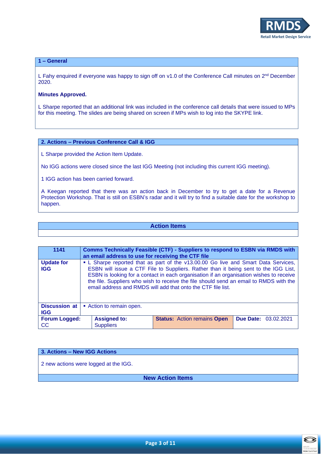

## **1 – General**

L Fahy enquired if everyone was happy to sign off on v1.0 of the Conference Call minutes on  $2^{nd}$  December 2020.

## **Minutes Approved.**

L Sharpe reported that an additional link was included in the conference call details that were issued to MPs for this meeting. The slides are being shared on screen if MPs wish to log into the SKYPE link.

## **2. Actions – Previous Conference Call & IGG**

L Sharpe provided the Action Item Update.

No IGG actions were closed since the last IGG Meeting (not including this current IGG meeting).

1 IGG action has been carried forward.

A Keegan reported that there was an action back in December to try to get a date for a Revenue Protection Workshop. That is still on ESBN's radar and it will try to find a suitable date for the workshop to happen.

## **Action Items**

| 1141                               | Comms Technically Feasible (CTF) - Suppliers to respond to ESBN via RMDS with<br>an email address to use for receiving the CTF file                                                                                                                                                                                                                                                                                            |                                         |                                    |                             |  |  |
|------------------------------------|--------------------------------------------------------------------------------------------------------------------------------------------------------------------------------------------------------------------------------------------------------------------------------------------------------------------------------------------------------------------------------------------------------------------------------|-----------------------------------------|------------------------------------|-----------------------------|--|--|
| <b>Update for</b><br><b>IGG</b>    | • L Sharpe reported that as part of the v13.00.00 Go live and Smart Data Services,<br>ESBN will issue a CTF File to Suppliers. Rather than it being sent to the IGG List,<br>ESBN is looking for a contact in each organisation if an organisation wishes to receive<br>the file. Suppliers who wish to receive the file should send an email to RMDS with the<br>email address and RMDS will add that onto the CTF file list. |                                         |                                    |                             |  |  |
| <b>Discussion at</b><br><b>IGG</b> | Action to remain open.                                                                                                                                                                                                                                                                                                                                                                                                         |                                         |                                    |                             |  |  |
| <b>Forum Logged:</b><br>CC         |                                                                                                                                                                                                                                                                                                                                                                                                                                | <b>Assigned to:</b><br><b>Suppliers</b> | <b>Status: Action remains Open</b> | <b>Due Date: 03.02.2021</b> |  |  |

# **3. Actions – New IGG Actions**

2 new actions were logged at the IGG.

**New Action Items**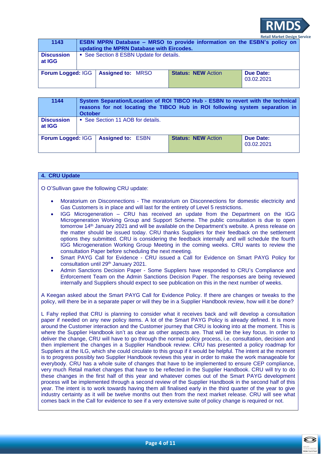

| 1143                        | <b>ESBN MPRN Database - MRSO to provide information on the ESBN's policy on</b><br>updating the MPRN Database with Eircodes. |  |                           |  |  |                         |  |
|-----------------------------|------------------------------------------------------------------------------------------------------------------------------|--|---------------------------|--|--|-------------------------|--|
| <b>Discussion</b><br>at IGG | • See Section 8 ESBN Update for details.                                                                                     |  |                           |  |  |                         |  |
| <b>Forum Logged: IGG</b>    | <b>Assigned to: MRSO</b>                                                                                                     |  | <b>Status: NEW Action</b> |  |  | Due Date:<br>03.02.2021 |  |

| 1144                        | System Separation/Location of ROI TIBCO Hub - ESBN to revert with the technical<br>reasons for not locating the TIBCO Hub in ROI following system separation in<br><b>October</b> |                          |  |                           |  |                                |
|-----------------------------|-----------------------------------------------------------------------------------------------------------------------------------------------------------------------------------|--------------------------|--|---------------------------|--|--------------------------------|
| <b>Discussion</b><br>at IGG | • See Section 11 AOB for details.                                                                                                                                                 |                          |  |                           |  |                                |
| <b>Forum Logged: IGG</b>    |                                                                                                                                                                                   | <b>Assigned to: ESBN</b> |  | <b>Status: NEW Action</b> |  | <b>Due Date:</b><br>03.02.2021 |

## **4. CRU Update**

O O'Sullivan gave the following CRU update:

- Moratorium on Disconnections The moratorium on Disconnections for domestic electricity and Gas Customers is in place and will last for the entirety of Level 5 restrictions.
- IGG Microgeneration CRU has received an update from the Department on the IGG Microgeneration Working Group and Support Scheme. The public consultation is due to open tomorrow 14th January 2021 and will be available on the Department's website. A press release on the matter should be issued today. CRU thanks Suppliers for their feedback on the settlement options they submitted. CRU is considering the feedback internally and will schedule the fourth IGG Microgeneration Working Group Meeting in the coming weeks. CRU wants to review the consultation Paper before scheduling the next meeting.
- Smart PAYG Call for Evidence CRU issued a Call for Evidence on Smart PAYG Policy for consultation until 29th January 2021.
- Admin Sanctions Decision Paper Some Suppliers have responded to CRU's Compliance and Enforcement Team on the Admin Sanctions Decision Paper. The responses are being reviewed internally and Suppliers should expect to see publication on this in the next number of weeks.

A Keegan asked about the Smart PAYG Call for Evidence Policy. If there are changes or tweaks to the policy, will there be in a separate paper or will they be in a Supplier Handbook review, how will it be done?

L Fahy replied that CRU is planning to consider what it receives back and will develop a consultation paper if needed on any new policy items. A lot of the Smart PAYG Policy is already defined. It is more around the Customer interaction and the Customer journey that CRU is looking into at the moment. This is where the Supplier Handbook isn't as clear as other aspects are. That will be the key focus. In order to deliver the change, CRU will have to go through the normal policy process, i.e. consultation, decision and then implement the changes in a Supplier Handbook review. CRU has presented a policy roadmap for Suppliers at the ILG, which she could circulate to this group if it would be helpful. The intent at the moment is to progress possibly two Supplier Handbook reviews this year in order to make the work manageable for everybody. CRU has a whole suite of changes that have to be implemented to ensure CEP compliance, very much Retail market changes that have to be reflected in the Supplier Handbook. CRU will try to do these changes in the first half of this year and whatever comes out of the Smart PAYG development process will be implemented through a second review of the Supplier Handbook in the second half of this year. The intent is to work towards having them all finalised early in the third quarter of the year to give industry certainty as it will be twelve months out then from the next market release. CRU will see what comes back in the Call for evidence to see if a very extensive suite of policy change is required or not.

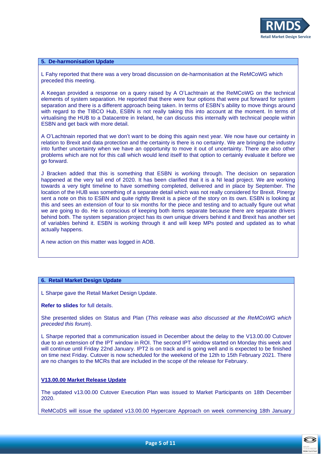

## **5. De-harmonisation Update**

L Fahy reported that there was a very broad discussion on de-harmonisation at the ReMCoWG which preceded this meeting.

A Keegan provided a response on a query raised by A O'Lachtnain at the ReMCoWG on the technical elements of system separation. He reported that there were four options that were put forward for system separation and there is a different approach being taken. In terms of ESBN's ability to move things around with regard to the TIBCO Hub, ESBN is not really taking this into account at the moment. In terms of virtualising the HUB to a Datacentre in Ireland, he can discuss this internally with technical people within ESBN and get back with more detail.

A O'Lachtnain reported that we don't want to be doing this again next year. We now have our certainty in relation to Brexit and data protection and the certainty is there is no certainty. We are bringing the industry into further uncertainty when we have an opportunity to move it out of uncertainty. There are also other problems which are not for this call which would lend itself to that option to certainly evaluate it before we go forward.

J Bracken added that this is something that ESBN is working through. The decision on separation happened at the very tail end of 2020. It has been clarified that it is a NI lead project. We are working towards a very tight timeline to have something completed, delivered and in place by September. The location of the HUB was something of a separate detail which was not really considered for Brexit. Pinergy sent a note on this to ESBN and quite rightly Brexit is a piece of the story on its own. ESBN is looking at this and sees an extension of four to six months for the piece and testing and to actually figure out what we are going to do. He is conscious of keeping both items separate because there are separate drivers behind both. The system separation project has its own unique drivers behind it and Brexit has another set of variables behind it. ESBN is working through it and will keep MPs posted and updated as to what actually happens.

A new action on this matter was logged in AOB.

## **6. Retail Market Design Update**

L Sharpe gave the Retail Market Design Update.

#### **Refer to slides** for full details.

She presented slides on Status and Plan (*This release was also discussed at the ReMCoWG which preceded this forum*).

L Sharpe reported that a communication issued in December about the delay to the V13.00.00 Cutover due to an extension of the IPT window in ROI. The second IPT window started on Monday this week and will continue until Friday 22nd January. IPT2 is on track and is going well and is expected to be finished on time next Friday. Cutover is now scheduled for the weekend of the 12th to 15th February 2021. There are no changes to the MCRs that are included in the scope of the release for February.

## **V13.00.00 Market Release Update**

The updated v13.00.00 Cutover Execution Plan was issued to Market Participants on 18th December 2020.

ReMCoDS will issue the updated v13.00.00 Hypercare Approach on week commencing 18th January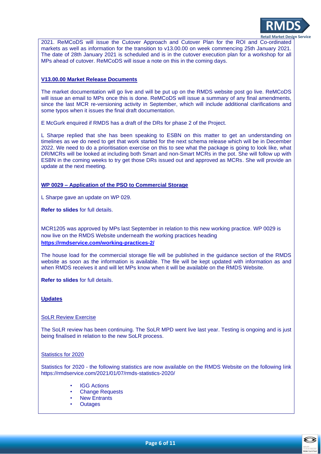

2021. ReMCoDS will issue the Cutover Approach and Cutover Plan for the ROI and Co-ordinated markets as well as information for the transition to v13.00.00 on week commencing 25th January 2021. The date of 28th January 2021 is scheduled and is in the cutover execution plan for a workshop for all MPs ahead of cutover. ReMCoDS will issue a note on this in the coming days.

## **V13.00.00 Market Release Documents**

The market documentation will go live and will be put up on the RMDS website post go live. ReMCoDS will issue an email to MPs once this is done. ReMCoDS will issue a summary of any final amendments, since the last MCR re-versioning activity in September, which will include additional clarifications and some typos when it issues the final draft documentation.

E McGurk enquired if RMDS has a draft of the DRs for phase 2 of the Project.

L Sharpe replied that she has been speaking to ESBN on this matter to get an understanding on timelines as we do need to get that work started for the next schema release which will be in December 2022. We need to do a prioritisation exercise on this to see what the package is going to look like, what DR/MCRs will be looked at including both Smart and non-Smart MCRs in the pot. She will follow up with ESBN in the coming weeks to try get those DRs issued out and approved as MCRs. She will provide an update at the next meeting.

## **WP 0029 – Application of the PSO to Commercial Storage**

L Sharpe gave an update on WP 029.

**Refer to slides** for full details.

MCR1205 was approved by MPs last September in relation to this new working practice. WP 0029 is now live on the RMDS Website underneath the working practices heading **<https://rmdservice.com/working-practices-2/>**

The house load for the commercial storage file will be published in the guidance section of the RMDS website as soon as the information is available. The file will be kept updated with information as and when RMDS receives it and will let MPs know when it will be available on the RMDS Website.

**Refer to slides** for full details.

## **Updates**

## SoLR Review Exercise

The SoLR review has been continuing. The SoLR MPD went live last year. Testing is ongoing and is just being finalised in relation to the new SoLR process.

## Statistics for 2020

Statistics for 2020 - the following statistics are now available on the RMDS Website on the following link https://rmdservice.com/2021/01/07/rmds-statistics-2020/

- **IGG Actions**
- **Change Requests**
- **New Entrants**
- **Outages**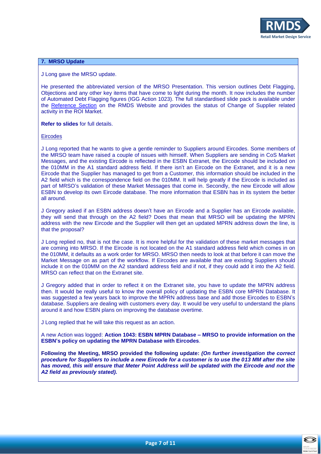

## **7. MRSO Update**

J Long gave the MRSO update.

He presented the abbreviated version of the MRSO Presentation. This version outlines Debt Flagging, Objections and any other key items that have come to light during the month. It now includes the number of Automated Debt Flagging figures (IGG Action 1023). The full standardised slide pack is available under the [Reference Section](https://rmdservice.com/mrso-slides/) on the RMDS Website and provides the status of Change of Supplier related activity in the ROI Market.

**Refer to slides** for full details.

**Eircodes** 

J Long reported that he wants to give a gentle reminder to Suppliers around Eircodes. Some members of the MRSO team have raised a couple of issues with himself. When Suppliers are sending in CoS Market Messages, and the existing Eircode is reflected in the ESBN Extranet, the Eircode should be included on the 010MM in the A1 standard address field. If there isn't an Eircode on the Extranet, and it is a new Eircode that the Supplier has managed to get from a Customer, this information should be included in the A2 field which is the correspondence field on the 010MM. It will help greatly if the Eircode is included as part of MRSO's validation of these Market Messages that come in. Secondly, the new Eircode will allow ESBN to develop its own Eircode database. The more information that ESBN has in its system the better all around.

J Gregory asked if an ESBN address doesn't have an Eircode and a Supplier has an Eircode available, they will send that through on the A2 field? Does that mean that MRSO will be updating the MPRN address with the new Eircode and the Supplier will then get an updated MPRN address down the line, is that the proposal?

J Long replied no, that is not the case. It is more helpful for the validation of these market messages that are coming into MRSO. If the Eircode is not located on the A1 standard address field which comes in on the 010MM, it defaults as a work order for MRSO. MRSO then needs to look at that before it can move the Market Message on as part of the workflow. If Eircodes are available that are existing Suppliers should include it on the 010MM on the A2 standard address field and if not, if they could add it into the A2 field. MRSO can reflect that on the Extranet site.

J Gregory added that in order to reflect it on the Extranet site, you have to update the MPRN address then. It would be really useful to know the overall policy of updating the ESBN core MPRN Database. It was suggested a few years back to improve the MPRN address base and add those Eircodes to ESBN's database. Suppliers are dealing with customers every day. It would be very useful to understand the plans around it and how ESBN plans on improving the database overtime.

J Long replied that he will take this request as an action.

A new Action was logged: **Action 1043: ESBN MPRN Database – MRSO to provide information on the ESBN's policy on updating the MPRN Database with Eircodes**.

**Following the Meeting, MRSO provided the following update:** *(On further investigation the correct procedure for Suppliers to include a new Eircode for a customer is to use the 013 MM after the site has moved, this will ensure that Meter Point Address will be updated with the Eircode and not the A2 field as previously stated).* 

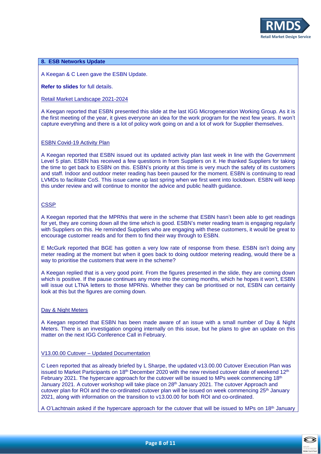

## **8. ESB Networks Update**

A Keegan & C Leen gave the ESBN Update.

**Refer to slides** for full details.

Retail Market Landscape 2021-2024

A Keegan reported that ESBN presented this slide at the last IGG Microgeneration Working Group. As it is the first meeting of the year, it gives everyone an idea for the work program for the next few years. It won't capture everything and there is a lot of policy work going on and a lot of work for Supplier themselves.

#### ESBN Covid-19 Activity Plan

A Keegan reported that ESBN issued out its updated activity plan last week in line with the Government Level 5 plan. ESBN has received a few questions in from Suppliers on it. He thanked Suppliers for taking the time to get back to ESBN on this. ESBN's priority at this time is very much the safety of its customers and staff. Indoor and outdoor meter reading has been paused for the moment. ESBN is continuing to read LVMDs to facilitate CoS. This issue came up last spring when we first went into lockdown. ESBN will keep this under review and will continue to monitor the advice and public health guidance.

#### **CSSP**

A Keegan reported that the MPRNs that were in the scheme that ESBN hasn't been able to get readings for yet, they are coming down all the time which is good. ESBN's meter reading team is engaging regularly with Suppliers on this. He reminded Suppliers who are engaging with these customers, it would be great to encourage customer reads and for them to find their way through to ESBN.

E McGurk reported that BGE has gotten a very low rate of response from these. ESBN isn't doing any meter reading at the moment but when it goes back to doing outdoor metering reading, would there be a way to prioritise the customers that were in the scheme?

A Keegan replied that is a very good point. From the figures presented in the slide, they are coming down which is positive. If the pause continues any more into the coming months, which he hopes it won't, ESBN will issue out LTNA letters to those MPRNs. Whether they can be prioritised or not, ESBN can certainly look at this but the figures are coming down.

#### Day & Night Meters

A Keegan reported that ESBN has been made aware of an issue with a small number of Day & Night Meters. There is an investigation ongoing internally on this issue, but he plans to give an update on this matter on the next IGG Conference Call in February.

## V13.00.00 Cutover – Updated Documentation

C Leen reported that as already briefed by L Sharpe, the updated v13.00.00 Cutover Execution Plan was issued to Market Participants on 18<sup>th</sup> December 2020 with the new revised cutover date of weekend 12<sup>th</sup> February 2021. The hypercare approach for the cutover will be issued to MPs week commencing 18<sup>th</sup> January 2021. A cutover workshop will take place on 28th January 2021. The cutover Approach and cutover plan for ROI and the co-ordinated cutover plan will be issued on week commencing 25<sup>th</sup> January 2021, along with information on the transition to v13.00.00 for both ROI and co-ordinated.

A O'Lachtnain asked if the hypercare approach for the cutover that will be issued to MPs on 18<sup>th</sup> January

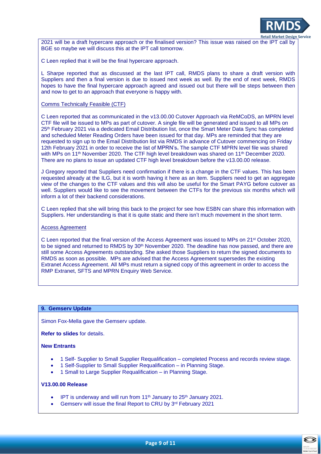

2021 will be a draft hypercare approach or the finalised version? This issue was raised on the IPT call by BGE so maybe we will discuss this at the IPT call tomorrow.

C Leen replied that it will be the final hypercare approach.

L Sharpe reported that as discussed at the last IPT call, RMDS plans to share a draft version with Suppliers and then a final version is due to issued next week as well. By the end of next week, RMDS hopes to have the final hypercare approach agreed and issued out but there will be steps between then and now to get to an approach that everyone is happy with.

#### Comms Technically Feasible (CTF)

C Leen reported that as communicated in the v13.00.00 Cutover Approach via ReMCoDS, an MPRN level CTF file will be issued to MPs as part of cutover. A single file will be generated and issued to all MPs on 25<sup>th</sup> February 2021 via a dedicated Email Distribution list, once the Smart Meter Data Sync has completed and scheduled Meter Reading Orders have been issued for that day. MPs are reminded that they are requested to sign up to the Email Distribution list via RMDS in advance of Cutover commencing on Friday 12th February 2021 in order to receive the list of MPRN's**.** The sample CTF MPRN level file was shared with MPs on 11<sup>th</sup> November 2020. The CTF high level breakdown was shared on 11<sup>th</sup> December 2020. There are no plans to issue an updated CTF high level breakdown before the v13.00.00 release.

J Gregory reported that Suppliers need confirmation if there is a change in the CTF values. This has been requested already at the ILG, but it is worth having it here as an item. Suppliers need to get an aggregate view of the changes to the CTF values and this will also be useful for the Smart PAYG before cutover as well. Suppliers would like to see the movement between the CTFs for the previous six months which will inform a lot of their backend considerations.

C Leen replied that she will bring this back to the project for see how ESBN can share this information with Suppliers. Her understanding is that it is quite static and there isn't much movement in the short term.

## Access Agreement

C Leen reported that the final version of the Access Agreement was issued to MPs on 21<sup>st</sup> October 2020, to be signed and returned to RMDS by 30<sup>th</sup> November 2020. The deadline has now passed, and there are still some Access Agreements outstanding. She asked those Suppliers to return the signed documents to RMDS as soon as possible. MPs are advised that the Access Agreement supersedes the existing Extranet Access Agreement. All MPs must return a signed copy of this agreement in order to access the RMP Extranet, SFTS and MPRN Enquiry Web Service.

#### **9. Gemserv Update**

Simon Fox-Mella gave the Gemserv update.

**Refer to slides** for details.

#### **New Entrants**

- 1 Self- Supplier to Small Supplier Requalification completed Process and records review stage.
- 1 Self-Supplier to Small Supplier Requalification in Planning Stage.
- 1 Small to Large Supplier Requalification in Planning Stage.

#### **V13.00.00 Release**

- IPT is underway and will run from  $11<sup>th</sup>$  January to  $25<sup>th</sup>$  January 2021.
- Gemserv will issue the final Report to CRU by 3rd February 2021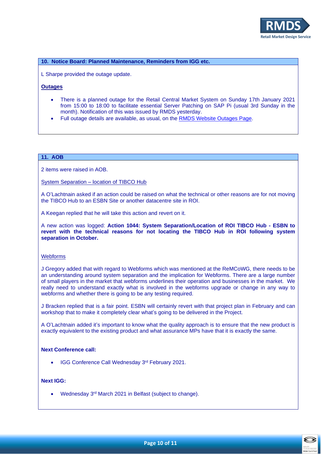

## **10. Notice Board: Planned Maintenance, Reminders from IGG etc.**

L Sharpe provided the outage update.

# **Outages**

- There is a planned outage for the Retail Central Market System on Sunday 17th January 2021 from 15:00 to 18:00 to facilitate essential Server Patching on SAP Pi (usual 3rd Sunday in the month). Notification of this was issued by RMDS yesterday.
- Full outage details are available, as usual, on the [RMDS Website Outages Page.](https://rmdservice.com/2020/01/10/2020-outages/)

## **11. AOB**

2 items were raised in AOB.

System Separation – location of TIBCO Hub

A O'Lachtnain asked if an action could be raised on what the technical or other reasons are for not moving the TIBCO Hub to an ESBN Site or another datacentre site in ROI.

A Keegan replied that he will take this action and revert on it.

A new action was logged: **Action 1044: System Separation/Location of ROI TIBCO Hub - ESBN to revert with the technical reasons for not locating the TIBCO Hub in ROI following system separation in October.**

## Webforms

J Gregory added that with regard to Webforms which was mentioned at the ReMCoWG, there needs to be an understanding around system separation and the implication for Webforms. There are a large number of small players in the market that webforms underlines their operation and businesses in the market. We really need to understand exactly what is involved in the webforms upgrade or change in any way to webforms and whether there is going to be any testing required.

J Bracken replied that is a fair point. ESBN will certainly revert with that project plan in February and can workshop that to make it completely clear what's going to be delivered in the Project.

A O'Lachtnain added it's important to know what the quality approach is to ensure that the new product is exactly equivalent to the existing product and what assurance MPs have that it is exactly the same.

#### **Next Conference call:**

• IGG Conference Call Wednesday 3rd February 2021.

# **Next IGG:**

• Wednesday 3<sup>rd</sup> March 2021 in Belfast (subject to change).